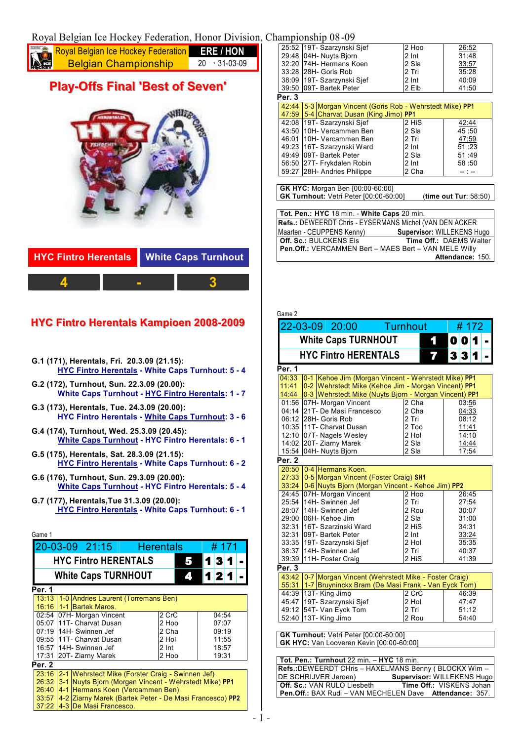## Royal Belgian Ice Hockey Federation, Honor Division, Championship 08-09

| <b>Royal Belgian Ice Hockey Federation</b><br><b>Read Belgian Championship</b><br><b>ERE / HON</b><br>29<br>$20 \rightarrow 31 - 03 - 09$ |  |  |                 |
|-------------------------------------------------------------------------------------------------------------------------------------------|--|--|-----------------|
|                                                                                                                                           |  |  | $\overline{25}$ |
|                                                                                                                                           |  |  | 32<br>22        |

## **Pllay--Offs Fiinall ' ' Best of Seven' '**



| <b>HYC Fintro Herentals</b> White Caps Turnhout |  |  |
|-------------------------------------------------|--|--|
|                                                 |  |  |

## **i Le** Fintro Herentals Kampioen 2008-2009

- **G.1 (171), Herentals, Fri. 20.3.09 (21.15): HYC Fintro Herentals - White Caps Turnhout: 5 - 4**
- **G.2 (172), Turnhout, Sun. 22.3.09 (20.00): White Caps Turnhout - HYC Fintro Herentals: 1 - 7**
- **G.3 (173), Herentals, Tue. 24.3.09 (20.00): HYC Fintro Herentals - White Caps Turnhout: 3 - 6**
- **G.4 (174), Turnhout, Wed. 25.3.09 (20.45): White Caps Turnhout - HYC Fintro Herentals: 6 - 1**
- **G.5 (175), Herentals, Sat. 28.3.09 (21.15): HYC Fintro Herentals - White Caps Turnhout: 6 - 2**
- **G.6 (176), Turnhout, Sun. 29.3.09 (20.00): White Caps Turnhout - HYC Fintro Herentals: 5 - 4**
- **G.7 (177), Herentals,Tue 31.3.09 (20.00): HYC Fintro Herentals - White Caps Turnhout: 6 - 1**

| Game 1                                                                  |                  |                         |   |       |  |
|-------------------------------------------------------------------------|------------------|-------------------------|---|-------|--|
| 20-03-09 21:15                                                          | <b>Herentals</b> |                         |   | # 171 |  |
| <b>HYC Fintro HERENTALS</b>                                             |                  |                         | з |       |  |
| <b>White Caps TURNHOUT</b>                                              |                  | $\overline{\mathbf{A}}$ | 2 |       |  |
| Per. 1                                                                  |                  |                         |   |       |  |
| 13:13<br>1-0 Andries Laurent (Torremans Ben)<br>16:16 1-1 Bartek Maros. |                  |                         |   |       |  |
| 02:54 07H- Morgan Vincent                                               | 2 CrC            |                         |   | 04:54 |  |
| 05:07 11T- Charvat Dusan                                                | 2 Hoo            |                         |   | 07:07 |  |
| 07:19 14H- Swinnen Jef                                                  | 2 Cha            |                         |   | 09:19 |  |
| 09:55 111T- Charvat Dusan                                               | 2 Hol            |                         |   | 11:55 |  |
| 16:57 I14H- Swinnen Jef                                                 | 2 Int            |                         |   | 18:57 |  |
| 17:31 20T- Ziarny Marek                                                 | 2 Hoo            |                         |   | 19:31 |  |
| Per. 2                                                                  |                  |                         |   |       |  |
| 23:16<br>2-1 Wehrstedt Mike (Forster Craig - Swinnen Jef)               |                  |                         |   |       |  |
| 3-1 Nuyts Biorn (Morgan Vincent - Wehrstedt Mike) PP1<br>26:32          |                  |                         |   |       |  |
| 26:40 4-1 Hermans Koen (Vercammen Ben)                                  |                  |                         |   |       |  |
| 14-2 Ziarny Marek (Bartek Peter - De Masi Francesco) PP2<br>33:57       |                  |                         |   |       |  |
| 4-3 De Masi Francesco.<br>37:22                                         |                  |                         |   |       |  |

|        | 25:52   19T- Szarzynski Sjef                        | 2 Hoo | 26:52   |
|--------|-----------------------------------------------------|-------|---------|
|        | 29:48 04H- Nuyts Biorn                              | 2 Int | 31:48   |
|        | 32:20 74H- Hermans Koen                             | 2 Sla | 33:57   |
|        | 33:28 28H- Goris Rob                                | 2 Tri | 35:28   |
|        | 38:09 19T- Szarzynski Sjef                          | 2 Int | 40:09   |
|        | 39:50 09T- Bartek Peter                             | 2 Elb | 41:50   |
| Per. 3 |                                                     |       |         |
| 42:44  | 5-3 Morgan Vincent (Goris Rob - Wehrstedt Mike) PP1 |       |         |
| 47:59  | 5-4 Charvat Dusan (King Jimo) PP1                   |       |         |
|        | 42:08 19T- Szarzynski Sjef                          | 2 HiS | 42:44   |
|        | 43:50 10H- Vercammen Ben                            | 2 Sla | 45:50   |
|        | 46:01 10H- Vercammen Ben                            | 2 Tri | 47:59   |
|        | 49:23 16T- Szarzynski Ward                          | 2 Int | 51:23   |
|        | 49:49   09T - Bartek Peter                          | 2 Sla | 51:49   |
|        | 56:50 27T- Frykdalen Robin                          | 2 Int | 58:50   |
|        | 59:27 28H- Andries Philippe                         | 2 Cha | -- 1 -- |
|        |                                                     |       |         |
|        | <b>GK HYC:</b> Morgan Ben [00:00-60:00]             |       |         |

| <b>PARTIC:</b> MOISSON DON 100.00 00.001<br><b>GK Turnhout:</b> Vetri Peter [00:00-60:00] | (time out Tur: 58:50) |
|-------------------------------------------------------------------------------------------|-----------------------|
|                                                                                           |                       |

| Tot. Pen.: HYC 18 min. - White Caps 20 min.              |  |  |  |  |
|----------------------------------------------------------|--|--|--|--|
| Refs.: DEWEERDT Chris - EYSERMANS Michel (VAN DEN ACKER  |  |  |  |  |
| Supervisor: WILLEKENS Hugo<br>Maarten - CEUPPENS Kenny)  |  |  |  |  |
| Time Off.: DAEMS Walter<br><b>Off. Sc.: BULCKENS Els</b> |  |  |  |  |
| Pen.Off.: VERCAMMEN Bert - MAES Bert - VAN MELE Willy    |  |  |  |  |
| Attendance: 150.                                         |  |  |  |  |

| Game 2 |                                                              |                    |              |      |  |
|--------|--------------------------------------------------------------|--------------------|--------------|------|--|
|        | 22-03-09 20:00 Turnhout                                      |                    |              | #172 |  |
|        | <b>White Caps TURNHOUT</b>                                   | 1                  | 0 0 1        |      |  |
|        | <b>HYC Fintro HERENTALS</b>                                  | 77                 | 3 3 1        |      |  |
| Per. 1 |                                                              |                    |              |      |  |
| 04:33  | 0-1 Kehoe Jim (Morgan Vincent - Wehrstedt Mike) PP1          |                    |              |      |  |
| 11:41  | 0-2 Wehrstedt Mike (Kehoe Jim - Morgan Vincent) PP1          |                    |              |      |  |
| 14:44  | 0-3 Wehrstedt Mike (Nuyts Bjorn - Morgan Vincent) PP1        |                    |              |      |  |
|        | 01:56 07H- Morgan Vincent                                    | $2$ Cha            | 03:56        |      |  |
|        | 04:14 21T- De Masi Francesco                                 | 2 Cha              | 04:33        |      |  |
|        | 06:12 28H- Goris Rob                                         | 2 Tri              | 08:12        |      |  |
|        | 10:35 11T- Charvat Dusan                                     | 2 Too              | <u>11:41</u> |      |  |
|        | 12:10 07T- Nagels Wesley                                     | 2 Hol              | 14:10        |      |  |
|        | 14:02 20T- Ziarny Marek                                      | 2 Sla              | 14:44        |      |  |
|        | 15:54 04H- Nuyts Bjorn                                       | 2 Sla              | 17:54        |      |  |
| Per. 2 |                                                              |                    |              |      |  |
| 20:50  | 0-4 Hermans Koen.                                            |                    |              |      |  |
| 27:33  | 0-5 Morgan Vincent (Foster Craig) SH1                        |                    |              |      |  |
|        | 33:24 0-6 Nuyts Bjorn (Morgan Vincent - Kehoe Jim) PP2       |                    |              |      |  |
| 24:45  | 07H- Morgan Vincent                                          | 2 Hoo              | 26:45        |      |  |
| 25:54  | 14H- Swinnen Jef                                             | 2 Tri              | 27:54        |      |  |
| 28:07  | 14H- Swinnen Jef                                             | 2 Rou              | 30:07        |      |  |
|        | 29:00 06H- Kehoe Jim                                         | 2 Sla              | 31:00        |      |  |
| 32:31  | 16T- Szarzinski Ward                                         | 2 HiS              | 34:31        |      |  |
|        | 32:31 09T- Bartek Peter                                      | 2 Int              | 33:24        |      |  |
|        | 33:35 19T- Szarzynski Sjef                                   | 2 Hol              | 35:35        |      |  |
| 38:37  | 14H- Swinnen Jef                                             | 2 Tri              | 40:37        |      |  |
| 39:39  | 11H- Foster Craig                                            | 2 HiS              | 41:39        |      |  |
| Per. 3 |                                                              |                    |              |      |  |
|        | 43:42   0-7   Morgan Vincent (Wehrstedt Mike - Foster Craig) |                    |              |      |  |
| 55:31  | 1-7 Bruyninckx Bram (De Masi Frank - Van Eyck Tom)           |                    |              |      |  |
| 44:39  | 13T-King Jimo                                                | $\overline{2}$ CrC | 46:39        |      |  |
| 45:47  | 19T- Szarzynski Sjef                                         | 2 Hol              | 47:47        |      |  |
| 49:12  | 54T- Van Eyck Tom                                            | 2 Tri              | 51:12        |      |  |
| 52:40  | 13T-King Jimo                                                | 2 Rou              | 54:40        |      |  |
|        |                                                              |                    |              |      |  |
|        | GK Turnhout: Vetri Peter [00:00-60:00]                       |                    |              |      |  |
|        | GK HYC: Van Looveren Kevin [00:00-60:00]                     |                    |              |      |  |
| İ      | $\overline{100}$<br>$\overline{\cdot}$<br>$\overline{11170}$ |                    |              |      |  |

| Tot. Pen.: Turnhout 22 min. - HYC 18 min.                      |  |
|----------------------------------------------------------------|--|
| Refs.: DEWEERDT CHris - HAXELMANS Benny (BLOCKX Wim -          |  |
| Supervisor: WILLEKENS Hugo<br>DE SCHRIJVER Jeroen)             |  |
| Time Off.: VISKENS Johan<br><b>Off. Sc.: VAN RULO Liesbeth</b> |  |
| <b>Pen.Off.: BAX Rudi - VAN MECHELEN Dave Attendance: 357.</b> |  |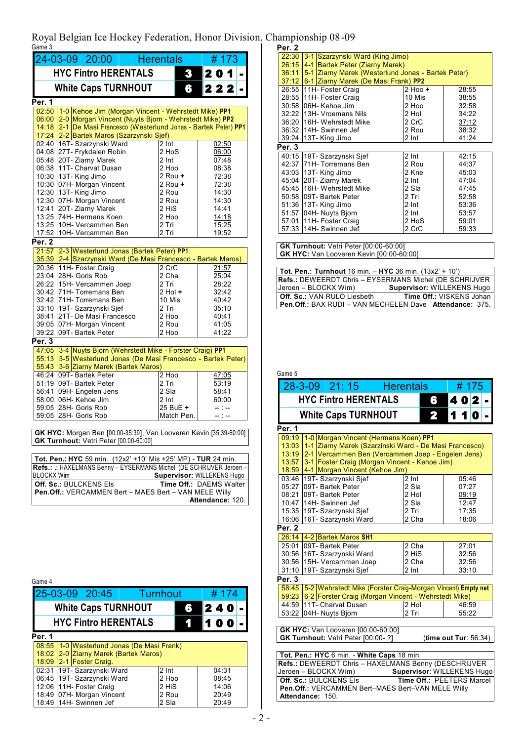Royal Belgian Ice Hockey Federation, Honor Division, Championship 08-09 Game 3 **Per. 2**

| 24-03-09 20:00 Herentals<br>#173                       |                                                                                                                                      |                           |                            |  |  |
|--------------------------------------------------------|--------------------------------------------------------------------------------------------------------------------------------------|---------------------------|----------------------------|--|--|
| <b>HYC Fintro HERENTALS</b><br>2 0 1<br>3 <sup>1</sup> |                                                                                                                                      |                           |                            |  |  |
| 2 2 2<br><b>White Caps TURNHOUT</b><br>6               |                                                                                                                                      |                           |                            |  |  |
| Per. 1                                                 |                                                                                                                                      |                           |                            |  |  |
|                                                        | 02:50 1-0 Kehoe Jim (Morgan Vincent - Wehrstedt Mike) PP1<br>2-0 Morgan Vincent (Nuyts Bjorn - Wehrstedt Mike) PP2                   |                           |                            |  |  |
| 06:00<br>14:18                                         | 2-1 De Masi Francesco (Westerlund Jonas - Bartek Peter) PP1                                                                          |                           |                            |  |  |
|                                                        | 17:24 2-2 Bartek Maros (Szarzynski Sjef)                                                                                             |                           |                            |  |  |
|                                                        | 02:40 16T- Szarzynski Ward<br>04:08 27T- Frykdalen Robin                                                                             | 2 Int<br>2 HoS            | 02:50<br>06:00             |  |  |
|                                                        | 05:48 20T- Ziarny Marek                                                                                                              | 2 Int                     | 07:48                      |  |  |
|                                                        | 06:38 11T- Charvat Dusan                                                                                                             | 2 Hoo                     | 08:38                      |  |  |
|                                                        | 10:30 13T- King Jimo                                                                                                                 | 2 Rou +                   | 12:30                      |  |  |
|                                                        | 10:30 07H- Morgan Vincent                                                                                                            | 2 Rou +<br>2 Rou          | 12:30<br>14:30             |  |  |
|                                                        | 12:30 13T- King Jimo<br>12:30 07H- Morgan Vincent                                                                                    | 2 Rou                     | 14:30                      |  |  |
| 12:41                                                  | 20T- Ziarny Marek                                                                                                                    | 2 HiS                     | 14:41                      |  |  |
|                                                        | 13:25 74H- Hermans Koen                                                                                                              | 2 Hoo                     | 14:18                      |  |  |
|                                                        | 13:25 10H- Vercammen Ben<br>17:52 10H- Vercammen Ben                                                                                 | 2 Tri<br>2 Tri            | 15:25<br>19:52             |  |  |
| Per. 2                                                 |                                                                                                                                      |                           |                            |  |  |
|                                                        | 21:57 2-3 Westerlund Jonas (Bartek Peter) PP1                                                                                        |                           |                            |  |  |
|                                                        | 35:39 2-4 Szarzynski Ward (De Masi Francesco - Bartek Maros)                                                                         |                           |                            |  |  |
|                                                        | 20:36 11H- Foster Craig<br>23:04 28H- Goris Rob                                                                                      | 2 CrC<br>2 Cha            | 21:57<br>25:04             |  |  |
|                                                        | 26:22 15H- Vercammen Joep                                                                                                            | 2 Tri                     | 28:22                      |  |  |
|                                                        | 30:42 71H- Torremans Ben                                                                                                             | $2$ Hol $+$               | 32:42                      |  |  |
|                                                        | 32:42 71H- Torremans Ben                                                                                                             | 10 Mis                    | 40:42                      |  |  |
|                                                        | 33:10 19T- Szarzynski Sjef<br>38:41 21T- De Masi Francesco                                                                           | 2 Tri<br>2 Hoo            | 35:10<br>40:41             |  |  |
|                                                        | 39:05 07H- Morgan Vincent                                                                                                            | 2 Rou                     | 41:05                      |  |  |
|                                                        | 39:22 09T- Bartek Peter                                                                                                              | 2 Hoo                     | 41:22                      |  |  |
| Per. 3                                                 |                                                                                                                                      |                           |                            |  |  |
|                                                        | 47:05 3-4 Nuyts Bjorn (Wehrstedt Mike - Forster Craig) PP1                                                                           |                           |                            |  |  |
| 55:13                                                  | 3-5 Westerlund Jonas (De Masi Francesco - Bartek Peter)<br>55:43 3-6 Ziarny Marek (Bartek Maros)                                     |                           |                            |  |  |
|                                                        | 46:24 09T- Bartek Peter                                                                                                              | $2$ Hoo                   | 47:05                      |  |  |
|                                                        | 51:19 09T- Bartek Peter                                                                                                              | 2 Tri                     | 53:19                      |  |  |
| 56:41                                                  | 09H- Engelen Jens<br>58:00 06H- Kehoe Jim                                                                                            | 2 Sla<br>2 <sub>Int</sub> | 58:41                      |  |  |
|                                                        | 59:05 28H- Goris Rob                                                                                                                 | 25 BuE +                  | 60:00<br>$-1 -$            |  |  |
|                                                        | 59:05 28H- Goris Rob                                                                                                                 | Match Pen.                | -- 1 --                    |  |  |
|                                                        | GK HYC: Morgan Ben [00:00-35:39], Van Looveren Kevin [35:39-60:00]                                                                   |                           |                            |  |  |
|                                                        | GK Turnhout: Vetri Peter [00:00-60:00]                                                                                               |                           |                            |  |  |
|                                                        |                                                                                                                                      |                           |                            |  |  |
|                                                        | Tot. Pen.: HYC 59 min. (12x2' +10' Mis +25' MP) - TUR 24 min.<br>Refs.: .: HAXELMANS Benny - EYSERMANS Michel (DE SCHRIJVER Jeroen - |                           |                            |  |  |
| <b>BLOCKX Wim</b>                                      |                                                                                                                                      |                           | Supervisor: WILLEKENS Hugo |  |  |
|                                                        | <b>Off. Sc.: BULCKENS Els</b>                                                                                                        |                           | Time Off.: DAEMS Walter    |  |  |
|                                                        | Pen.Off.: VERCAMMEN Bert - MAES Bert - VAN MELE Willy                                                                                |                           |                            |  |  |
| Attendance: 120.                                       |                                                                                                                                      |                           |                            |  |  |

02:31 |19T- Sz 06:45 |19T- Sz 12:06 11H- Fo 18:49 | 07H- Mo 18:49 14H- Sv

19T- Szarzynski Ward 19T- Szarzynski Ward 11H- Foster Craig 07H- Morgan Vincent 14H- Swinnen Jef

2 Int 2 Hoo 2 HiS 2 Rou 2 Sla

| rer. z |                                                    |         |       |  |  |
|--------|----------------------------------------------------|---------|-------|--|--|
| 22:30  | 3-1 Szarzynski Ward (King Jimo)                    |         |       |  |  |
| 26:15  | 4-1 Bartek Peter (Ziarny Marek)                    |         |       |  |  |
| 36:11  | 5-1 Ziarny Marek (Westerlund Jonas - Bartek Peter) |         |       |  |  |
|        | 37:12 6-1 Ziarny Marek (De Masi Frank) PP2         |         |       |  |  |
|        | 26:55 11H- Foster Craig                            | 2 Hoo + | 28:55 |  |  |
|        | 28:55 11H- Foster Craig                            | 10 Mis  | 38:55 |  |  |
|        | 30:58 06H- Kehoe Jim                               | 2 Hoo   | 32:58 |  |  |
|        | 32:22 13H- Vroemans Nils                           | 2 Hol   | 34:22 |  |  |
|        | 36:20 116H- Wehrstedt Mike                         | 2 CrC   | 37:12 |  |  |
|        | 36:32 14H- Swinnen Jef                             | 2 Rou   | 38:32 |  |  |
|        | 39:24 13T- King Jimo                               | 2 Int   | 41:24 |  |  |
| Per. 3 |                                                    |         |       |  |  |
|        | 40:15 19T- Szarzynski Sjef                         | 2 Int   | 42:15 |  |  |
|        | 42:37 71H- Torremans Ben                           | 2 Rou   | 44:37 |  |  |
|        | 43:03   13T - King Jimo                            | 2 Kne   | 45:03 |  |  |
|        | 45:04 20T- Ziarny Marek                            | 2 Int   | 47:04 |  |  |
|        | 45:45 116H- Wehrstedt Mike                         | 2 Sla   | 47:45 |  |  |
|        | 50:58 09T- Bartek Peter                            | 2 Tri   | 52:58 |  |  |
|        | 51:36   13T - King Jimo                            | 2 Int   | 53:36 |  |  |
|        | 51:57 04H- Nuyts Bjorn                             | 2 Int   | 53:57 |  |  |
|        | 57:01   11H- Foster Craig                          | 2 HoS   | 59:01 |  |  |
|        | 57:33 14H- Swinnen Jef                             | 2 CrC   | 59:33 |  |  |

**GK Turnhout:** Vetri Peter [00:00-60:00] **GK HYC:** Van Looveren Kevin [00:00-60:00]

| <b>Tot. Pen.: Turnhout</b> 16 min. $-$ HYC 36 min. (13x2' + 10') |
|------------------------------------------------------------------|
| <b>Refs.: DEWEERDT Chris - EYSERMANS Michel (DE SCHRIJVER</b>    |
| Jeroen – BLOCKX Wim)<br>Supervisor: WILLEKENS Hugo               |
| Time Off.: VISKENS Johan<br><b>Off. Sc.: VAN RULO Liesbeth</b>   |
| Pen.Off.: BAX RUDI - VAN MECHELEN Dave Attendance: 375.          |

| Game 5                                                                                                     |                                                                                       |                    |                           |  |  |
|------------------------------------------------------------------------------------------------------------|---------------------------------------------------------------------------------------|--------------------|---------------------------|--|--|
|                                                                                                            | 28-3-09 21:15 Herentals                                                               |                    | # 175                     |  |  |
| <b>HYC Fintro HERENTALS</b><br>402<br>6                                                                    |                                                                                       |                    |                           |  |  |
|                                                                                                            | <b>White Caps TURNHOUT</b>                                                            | 2                  | 1<br>1<br>O               |  |  |
|                                                                                                            |                                                                                       |                    |                           |  |  |
| Per. 1                                                                                                     |                                                                                       |                    |                           |  |  |
| 09:19                                                                                                      | 1-0 Morgan Vincent (Hermans Koen) PP1                                                 |                    |                           |  |  |
| 13:03                                                                                                      | 1-1 Ziarny Marek (Szarzinski Ward - De Masi Francesco)                                |                    |                           |  |  |
| 13:19                                                                                                      | 2-1 Vercammen Ben (Vercammen Joep - Engelen Jens)                                     |                    |                           |  |  |
| 13:57                                                                                                      | 3-1 Foster Craig (Morgan Vincent - Kehoe Jim)<br>18:59 4-1 Morgan Vincent (Kehoe Jim) |                    |                           |  |  |
|                                                                                                            | 03:46 19T- Szarzynski Sjef                                                            | $\overline{2}$ Int | 05:46                     |  |  |
| 05:27                                                                                                      | 09T- Bartek Peter                                                                     | 2 Sla              | 07:27                     |  |  |
| 08:21                                                                                                      | 09T- Bartek Peter                                                                     | 2 Hol              | 09:19                     |  |  |
|                                                                                                            | 10:47 14H- Swinnen Jef                                                                | 2 Sla              | 12:47                     |  |  |
|                                                                                                            | 15:35 19T- Szarzynski Sjef                                                            | 2 Tri              | 17:35                     |  |  |
|                                                                                                            | 16:06 16T- Szarzynski Ward                                                            | 2 Cha              | 18:06                     |  |  |
| Per. 2                                                                                                     |                                                                                       |                    |                           |  |  |
|                                                                                                            | 26:14 4-2 Bartek Maros SH1                                                            |                    |                           |  |  |
|                                                                                                            | 25:01 09T- Bartek Peter                                                               | 2 Cha              | 27:01                     |  |  |
|                                                                                                            | 30:56 16T- Szarzynski Ward                                                            | 2 HiS              | 32:56                     |  |  |
| 30:56                                                                                                      | 15H- Vercammen Joep                                                                   | 2 Cha              | 32:56                     |  |  |
|                                                                                                            | 31:10 19T- Szarzynski Sjef                                                            | 2 <sub>Int</sub>   | 33:10                     |  |  |
| Per. 3                                                                                                     |                                                                                       |                    |                           |  |  |
| 58:45                                                                                                      | 5-2 Wehrstedt Mike (Forster Craig-Morgan Vincent) Empty net                           |                    |                           |  |  |
|                                                                                                            | 59:23 6-2 Forster Craig (Morgan Vincent - Wehrstedt Mike)                             |                    |                           |  |  |
|                                                                                                            | 44:59 11T- Charvat Dusan                                                              | $2$ Hol            | 46:59                     |  |  |
| 53:22                                                                                                      | 04H- Nuyts Bjorn                                                                      | 2 Tri              | 55:22                     |  |  |
|                                                                                                            |                                                                                       |                    |                           |  |  |
|                                                                                                            | GK HYC: Van Looveren [00:00-60:00]<br>GK Turnhout: Vetri Peter [00:00-?]              |                    | (time out Tur: 56:34)     |  |  |
|                                                                                                            |                                                                                       |                    |                           |  |  |
|                                                                                                            | Tot. Pen.: HYC 6 min. - White Caps 18 min.                                            |                    |                           |  |  |
|                                                                                                            |                                                                                       |                    |                           |  |  |
| Refs.: DEWEERDT Chris - HAXELMANS Benny (DESCHRIJVER<br>Jeroen - BLOCKX Wim)<br>Supervisor: WILLEKENS Hugo |                                                                                       |                    |                           |  |  |
|                                                                                                            | Off. Sc.: BULCKENS Els                                                                |                    | Time Off.: PEETERS Marcel |  |  |
|                                                                                                            | Pen.Off.: VERCAMMEN Bert-MAES Bert-VAN MELE Willy                                     |                    |                           |  |  |
| Attendance: 150.                                                                                           |                                                                                       |                    |                           |  |  |

04:31 08:45 14:06 20:49 20:49